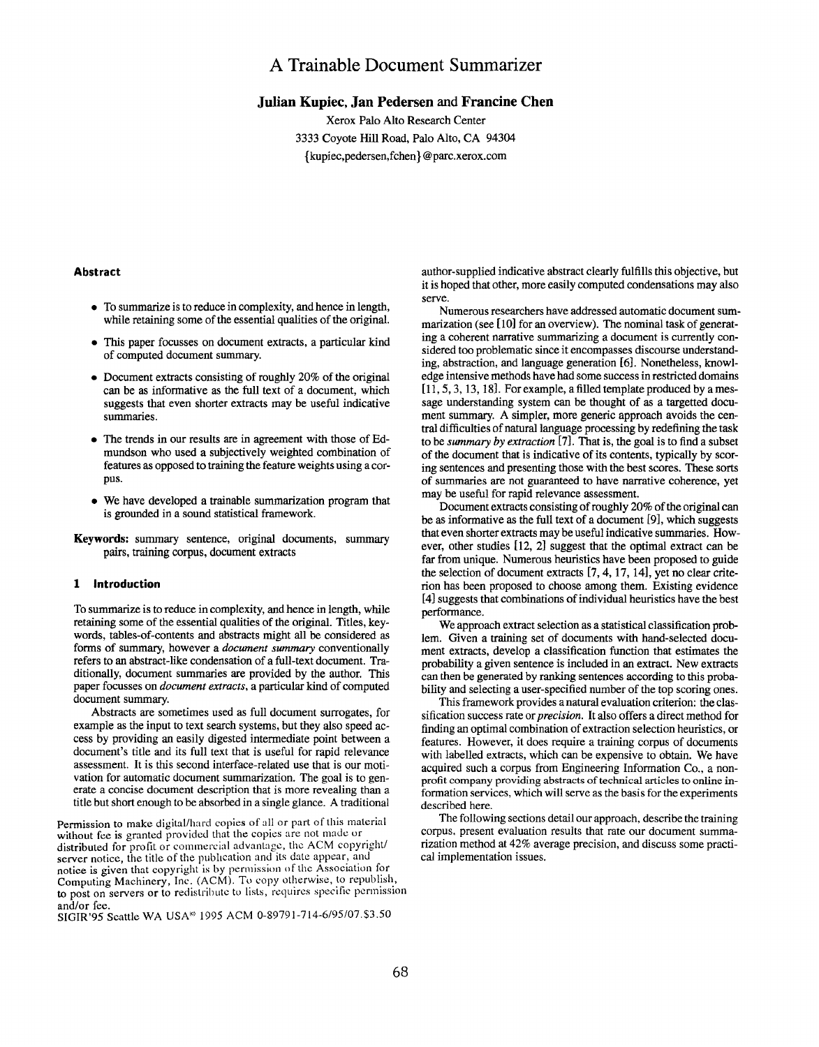# A Trainable Document Summarizer

# Julian Kupiec, Jan Pedersen and Francine Chen

Xerox Palo Alto Research Center 3333 Coyote Hill Road, Palo Alto, CA 94304 {kupiec,pedersen,fchen} @pare.xerox.com

### Abstract

- To summarize is to reduce in complexity, and hence in length, while retaining some of the essential qualities of the original.
- This paper focusses on document extracts, a particular kind of computed document summary.
- Document extracts consisting of roughly 20% of the origina can be as informative as the full text of a document, which suggests that even shorter extracts may be useful indicative summaries.
- The trends in our results are in agreement with those of Edmundson who used a subjectively weighted combination of features as opposed to training the feature weights using a corpus.
- We have developed a trainable summarization program that is grounded in a sound statistical framework.
- Keywords: summary sentence, original documents, summary pairs, training corpus, document extracts

### 1 Introduction

To summarize is to reduce in complexity, and hence in length, while retaining some of the essential qualities of the original. Titles, keywords, tables-of-contents and abstracts might all be considered as forms of summary, however a document summary conventionally refers to an abstract-like condensation of a full-text document. Traditionally, document summaries are provided by the author. This paper focusses on *document extracts*, a particular kind of computed document summary.

Abstracts are sometimes used as full document surrogates, for example as the input to text search systems, but they also speed access by providing an easily digested intermediate point between a document's title and its full text that is useful for rapid relevance assessment. It is this second interface-related use that is our motivation for automatic document summarization. The goal is to generate a concise document description that is more revealing than a title but short enough to be absorbed in a single glance. A traditional

Permission to make digital/hard copies of all or part of this material without fee is granted provided that the copies are not made or distributed for profit or commercial advantage, the ACM copyright/ server notice, the title of the publication and its date appear, and notice is given that copyright is by permission of the Association for Computing Machinery, Inc. (ACM). To copy otherwise, to republish, to post on servers or to redistribute to lists, requires specific permission and/or fee. and/or iee

 $S1$ GIR'95 Seattle WA USA" 1995 ACM 0-69791-714-0795707.\$5.50

author-supplied indicative abstract clearly fulfills this objective, but it is hoped that other, more easily computed condensations may also serve.

Numerous researchers have addressed automatic document summarization (see [10] for an overview). The nominal task of generating a coherent narrative summarizing a document is currently considered too problematic since it encompasses discourse understanding, abstraction, and language generation [6]. Nonetheless, knowledge intensive methods have had some success in restricted domains  $[11, 5, 3, 13, 18]$ . For example, a filled template produced by a message understanding system can be thought of as a targetted document summary. A simpler, more generic approach avoids the central difficulties of natural language processing by redefining the task to be summary by extraction [7]. That is, the goal is to find a subset of the document that is indicative of its contents, typically by scoring sentences and presenting those with the best scores. These sorts of summaries are not guaranteed to have narrative coherence, yet may be useful for rapid relevance assessment.

Document extracts consisting of roughly 20% of the original can be as informative as the full text of a document [9], which suggests that even shorter extracts may be useful indicative summaries. However, other studies [12, 2] suggest that the optimal extract can be far from unique. Numerous heuristics have been proposed to guide the selection of document extracts [7,4, 17, 14], yet no clear criterion has been proposed to choose among them. Existing evidence [4] suggests that combinations of individual heuristics have the best performance.

We approach extract selection as a statistical classification problem. Given a training set of documents with hand-selected document extracts, develop a classification function that estimates the probability a given sentence is included in an extract. New extracts can then be generated by ranking sentences according to this probability and selecting a user-specified number of the top scoring ones.

This framework provides a natural evaluation criterion: the classification success rate or precision. It also offers a direct method for finding an optimal combination of extraction selection heuristics, or features. However, it does require a training corpus of documents with Iabelled extracts, which can be expensive to obtain. We have acquired such a corpus from Engineering Information Co., a nonprofit company providing abstracts of technical srticles to online information services, which will serve as the basis for the experiments described here.

The following sections detail our approach, describe the training corpus, present evaluation results that rate our document summarization method at 42% average precision, and discuss some practical implementation issues.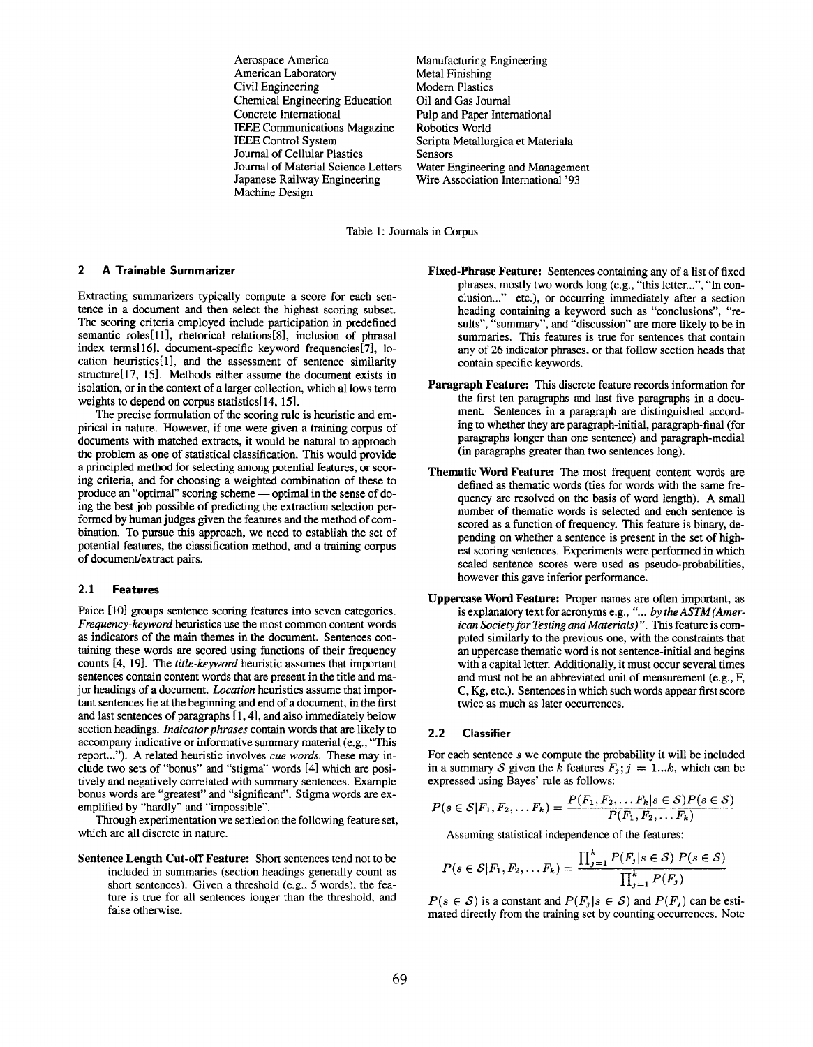Aerospace America American Laboratory Civil Engineering Chemical Engineering Education Concrete International IEEE Communications Magazine IEEE Control System Journal of Cellular Plastics Journal of Material Science Letters Japanese Railway Engineering Machine Design

Manufacturing Engineering Metal Finishing Modem Plastics Oil and Gas Journal Pulp and Paper International Robotics World Scripta Metallurgica et Materiala Sensors Water Engineering and Management Wire Association International '93

Table 1: Journals in Corpus

# 2 A Trainable Summarizer

Extracting summarizers typically compute a score for each sentence in a document and then select the highest scoring subset. The scoring criteria employed include participation in predefined semantic roles[11], rhetorical relations[8], inclusion of phrasal index terms[16], document-specific keyword frequencies[7], location heuristics[1], and the assessment of sentence similarity structure<sup>[17, 15]</sup>. Methods either assume the document exists in isolation, or in the context of a larger collection, which al lows term weights to depend on corpus statistics[14, 15].

The precise formulation of the scoring rule is heuristic and empirical in nature. However, if one were given a training corpus of documents with matched extracts, it would be natural to approach the problem as one of statistical classification. This would provide a principled method for selecting among potential features, or scoring criteria, and for choosing a weighted combination of these to produce an "optimal" scoring scheme — optimal in the sense of doing the best job possible of predicting the extraction selection performed by human judges given the features and the method of combination. To pursue this approach, we need to establish the set of potential features, the classification method, and a training corpus cf document/extract pairs.

# 2.1 Features

Paice [10] groups sentence scoring features into seven categories. Frequency-keyword heuristics use the most common content words as indicators of the main themes in the document. Sentences containing these words are scored using functions of their frequency counts [4, 19]. The title-keyword heuristic assumes that important sentences contain content words that are present in the title and major headings of a document. Location heuristics assume that important sentences lie at the beginning and end of a document, in the first and last sentences of paragraphs [1, 4], and also immediately below section headings. *Indicator phrases* contain words that are likely to accompany indicative or informative summary material (e.g., "This report..."). A related heuristic involves cue words. These may include two sets of "bonus" and "stigma" words [4] which are positively and negatively correlated with summary sentences. Example bonus words are "greatest" and "significant". Stigma words are exemplified by "hardly" and "impossible".

Through experimentation we settled on the following feature set, which are all discrete in nature.

Sentence Length Cut-off Feature: Short sentences tend not to be included in summaries (section headings generally count as short sentences). Given a threshold (e.g., 5 words), the feature is true for all sentences longer than the threshold, and false otherwise.

- Fixed-Phrase Feature: Sentences containing any of a list of fixed phrases, mostly two words long (e.g., "this letter...", "In conclusion..." etc.), or occurring immediately after a section heading containing a keyword such as "conclusions", "results", "summary", and "discussion" are more likely to be in summaries. This features is true for sentences that contain any of 26 indicator phrases, or that follow section heads that contain specific keywords.
- Paragraph Feature: This discrete feature records information for the first ten paragraphs and last five paragraphs in a document. Sentences in a paragraph are distinguished according to whether they are paragraph-initial, paragraph-final (for paragraphs longer than one sentence) and paragraph-medial (in paragraphs greater than two sentences long).
- Thematic Word Feature: The most frequent content words are defined as thematic words (ties for words with the same frequency are resolved on the basis of word length). A small number of thematic words is selected and each sentence is scored as a fimction of frequency. This feature is binary, depending on whether a sentence is present in the set of highest scoring sentences. Experiments were performed in which scaled sentence scores were used as pseudo-probabilities, however this gave inferior performance.
- Uppercase Word Feature: Proper names are often important, as is explanatory text for acronyms e.g., "... by the ASTM (American Society for Testing and Materials)". This feature is computed similarly to the previous one, with the constraints that an uppercase thematic word is not sentence-initial and begins with a capital letter. Additionally, it must occur several times and must not be an abbreviated unit of measurement (e.g., F, C, Kg, etc.). Sentences in which such words appear first score twice as much as later occurrences.

# 2.2 Classifier

For each sentence  $s$  we compute the probability it will be included in a summary S given the k features  $F_i$ ;  $j = 1...k$ , which can be expressed using Bayes' rule as follows:

$$
P(s \in \mathcal{S}|F_1, F_2, \ldots F_k) = \frac{P(F_1, F_2, \ldots F_k|s \in \mathcal{S})P(s \in \mathcal{S})}{P(F_1, F_2, \ldots F_k)}
$$

Assuming statistical independence of the features:

$$
P(s \in S | F_1, F_2, \dots, F_k) = \frac{\prod_{j=1}^k P(F_j | s \in S) P(s \in S)}{\prod_{j=1}^k P(F_j)}
$$

 $P(s \in S)$  is a constant and  $P(F<sub>1</sub>|s \in S)$  and  $P(F<sub>2</sub>)$  can be estimated directly from the training set by counting occurrences. Note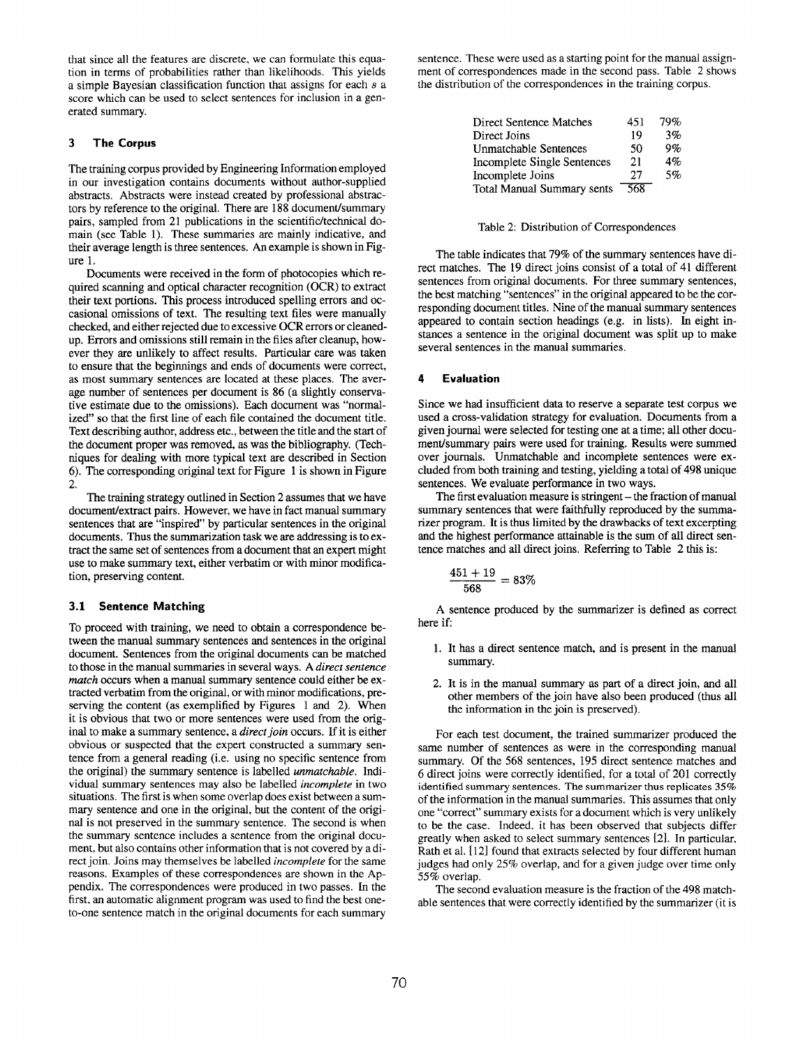that since all the features are discrete, we can formulate this equation in terms of probabilities rather than likelihoods. This yields a simple Bayesian classification function that assigns for each s a score which can be used to select sentences for inclusion in a generated summary.

# 3 The Corpus

The training corpus provided by Engineering Information employed in our investigation contains documents without author-supplied abstracts. Abstracts were instead created by professional abstractors by reference to the original. There are 188 document/summary pairs, sampled from 21 publications in the scientific/technical domain (see Table 1). These summaries are mainly indicative, and their average length is three sentences. An example is shown in Figure 1.

Documents were received in the form of photocopies which required scanning and optical character recognition (OCR) to extract their text portions. This process introduced spelling errors and occasional omissions of text. The resulting text files were manually checked, and either rejected due to excessive OCR errors or cleanedup. Errors and omissions still remain in the files after cleanup, however they are unlikely to affect results. Particular care was taken to ensure that the beginnings and ends of documents were correct, as most summary sentences are located at these places. The average number of sentences per document is 86 (a slightly conservative estimate due to the omissions). Each document was "normalized" so that the first line of each file contained the document title. Text describing author, address etc., between the title and the start of the document proper was removed, as was the bibliography. (Techniques for dealing with more typical text are described in Section 6). The corresponding originaJ text for Figure 1 is shown in Figure  $\overline{2}$ 

The training strategy outlined in Section 2 assumes that we have document/extract pairs. However, we have in fact manual summary sentences that are "inspired" by particular sentences in the original documents. Thus the summarization task we are addressing is to extract the same set of sentences from a document that an expert might use to make summary text, either verbatim or with minor modification, preserving content.

#### 3.1 Sentence Matching

To proceed with training, we need to obtain a correspondence between the manual summary sentences and sentences in the original document. Sentences from the original documents can be matched to those in the manual summaries in several ways. A direct sentence match occurs when a manual summary sentence could either be extracted verbatim from the original, or with minor modifications, preserving the content (as exemplified by Figures 1 and 2). When it is obvious that two or more sentences were used from the original to make a summary sentence, a direct join occurs. If it is either obvious or suspected that the expert constructed a summary sentence from a general reading (i.e. using no specific sentence from the original) the summary sentence is labelled unmatchable. Individual summary sentences may also be Iabelled incomplete in two situations. The first is when some overlap does exist between a summary sentence and one in the original, but the content of the original is not preserved in the summary sentence. The second is when the summary sentence includes a sentence from the original document, but also contains other information that is not covered by a direct join. Joins may themselves be labelled *incomplete* for the same reasons. Examples of these correspondences are shown in the Appendix. The correspondences were produced in two passes. In the first, an automatic alignment program was used to find the best oneto-one sentence match in the original documents for each summary

sentence. These were used as a starting point for the manual assignment of correspondences made in the second pass. Table 2 shows the distribution of the correspondences in the training corpus.

| <b>Direct Sentence Matches</b>     | 451 | 79% |
|------------------------------------|-----|-----|
| Direct Joins                       | 19  | 3%  |
| Unmatchable Sentences              | 50  | 9%  |
| <b>Incomplete Single Sentences</b> | 21  | 4%  |
| Incomplete Joins                   | 27  | 5%  |
| <b>Total Manual Summary sents</b>  | 568 |     |

#### Table 2: Distribution of Correspondences

The table indicates that 79% of the summary sentences have direct matches. The 19 direct joins consist of a total of 41 different sentences from original documents. For three summary sentences, the best matching "sentences" in the original appeared to be the corresponding document titles. Nine of the manual summary sentences appeared to contain section headings (e.g. in lists). In eight instances a sentence in the original document was split up to make several sentences in the manual summaries.

### 4 Evaluation

Since we had insufficient data to reserve a separate test corpus we used a cross-validation strategy for evaluation. Documents from a given journal were selected for testing one at a time, all other document/summary pairs were used for training. Results were summed over journals. Unmatchable and incomplete sentences were excluded from both training and testing, yielding a total of 498 unique sentences. We evaluate performance in two ways.

The first evaluation measure is stringent – the fraction of manual summary sentences that were faithfully reproduced by the summarizer program. It is thus limited by the drawbacks of text excerpting and the highest performance attainable is the sum of all direct sentence matches and all direct joins. Referring to Table 2 this is:

$$
\frac{451+19}{568} = 83\%
$$

A sentence produced by the summarizer is defined as correct here if:

- 1. It has a direct sentence match, and is present in the manual summary.
- 2. It is in the manual summary as part of a direct join, and all other members of the join have also been produced (thus all the information in the join is preserved).

For each test document, the trained summarizer produced the same number of sentences as were in the corresponding manual summary. Of the 568 sentences, 195 direct sentence matches and 6 direct joins were correctly identified, for a total of 201 correctly identified summary sentences. The summarizer thus replicates 35% of the information in the manual summaries. This assumes that only one "correct" summary exists for a document which is very unlikely to be the case. Indeed. it has been observed that subjects differ greatly when asked to select summary sentences [2]. In particular. Rath et al. [12] found that extracts selected by four different human judges had only 25% overlap, and for a given judge over time only 55% overlap.

The second evaluation measure is the fraction of the 498 matchable sentences that were correctly identified by the summarizer (it is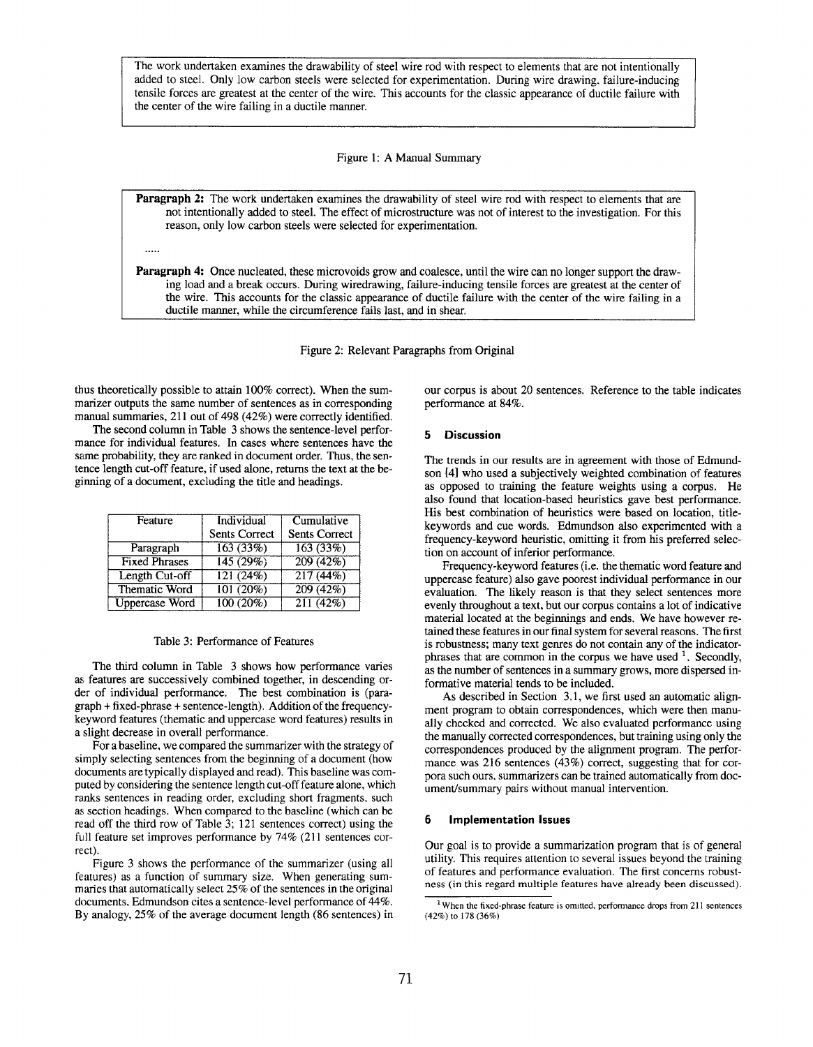The work undertaken examines the drawability of steel wire rod with respect to elements that are not intentionally added to steel. Only low carbon steels were selected for experimentation. During wire drawing, failure-inducing tensile forces are greatest at the center of the wire. This accounts for the classic appearance of ductile failure with the center of the wire failing in a ductile manner.

Figure 1: A Manual Summary

**Paragraph 2:** The work undertaken examines the drawability of steel wire rod with respect to elements that are not intentionally added to steel. The effect of microstmcture was not of interest to the investigation. For this reason, only low carbon steels were selected for experimentation.

.....

 $\overline{\phantom{a}}$ 

Paragraph 4: Once nucleated, these microvoids grow and coalesce, until the wire can no longer support the drawing load and a break occurs. During wiredrawing, failure-inducing tensile forces are greatest at the center of the wire. This accounts for the classic appearance of ductile failure with the center of the wire failing in a ductile manner, while the circumference fails last, and in shear.

Figure 2: Relevant Paragraphs from Original

thus theoretically possible to attain 100% correct). When the summarizer outputs the same number of sentences as in corresponding manual summaries, 211 out of 498 (42%) were correctly identified.

The second column in Table 3 shows the sentence-level performance for individual features. In cases where sentences have the same probability, they are ranked in document order. Thus, the sentence length cut-off feature, if used alone, returns the text at the beginning of a document, excluding the title and headings.

| Feature              | Individual           | Cumulative           |  |
|----------------------|----------------------|----------------------|--|
|                      | <b>Sents Correct</b> | <b>Sents Correct</b> |  |
| Paragraph            | 163(33%)             | 163(33%)             |  |
| <b>Fixed Phrases</b> | 145(29%)             | 209(42%)             |  |
| Length Cut-off       | 121(24%)             | 217(44%)             |  |
| Thematic Word        | $101(20\%)$          | 209(42%)             |  |
| Uppercase Word       | $100(20\%)$          | 211(42%)             |  |

#### Table 3: Performance of Features

The third column in Table 3 shows how performance varies as features are successively combined together, in descending order of individual performance. The best combination is (para $graph + fixed$ -phrase + sentence-length). Addition of the frequencykeyword features (thematic and uppercase word features) results in a slight decrease in overall performance.

For a baseline, we compared the summarizer with the strategy of simply selecting sentences from the beginning of a document (how documents are typically displayed and read). This baseline was computed by considering the sentence length cut-off feature alone, which ranks sentences in reading order, excluding short fragments, such as section headings. When compared to the baseline (which can be read off the third row of Table 3; 121 sentences correct) using the full feature set improves performance by 74% (211 sentences correct).

Figure 3 shows the performance of the summarizer (using all features) as a function of summary size. When generating summaries that automatically select 25% of the sentences in the original documents, Edmundson cites a sentence-level performance of 44%. By analogy, 25% of the average document length (86 sentences) in our corpus is about 20 sentences. Reference to the table indicates performance at 84%.

# 5 Discussion

The trends in our results are in agreement with those of Edmundson [4] who used a subjectively weighted combination of features as opposed to training the feature weights using a corpus. He also found that location-based heuristics gave best performance. His best combination of heuristics were based on location, titlekeywords and cue words. Edmundson also experimented with a frequency-keyword heuristic, omitting it from his preferred selection on account of inferior performance.

Frequency-keyword features (i.e. the thematic word feature and uppercase feature) also gave poorest individual performance in our evaluation. The likely reason is that they select sentences more evenly throughout a text, but our corpus contains a lot of indicative material located at the beginnings and ends. We have however retained these features in our final system for several reasons. The first is robustness; many text genres do not contain any of the indicatorphrases that are common in the corpus we have used  $<sup>1</sup>$ . Secondly,</sup> as the number of sentences in a summary grows, more dispersed informative material tends to be included.

As described in Section 3.1, we first used an automatic alignment program to obtain correspondences, which were then manually checked and corrected. We also evaluated performsmce using the manually corrected correspondences, but training using only the correspondences produced by the alignment program. The performance was 216 sentences  $(43%)$  correct, suggesting that for corpora such ours, summarizers can be trained automatically from document/summary pairs without manual intervention.

### 6 Implementation Issues

Our goal is to provide a summarization program that is of general utility. This requires attention to several issues beyond the training of features and performance evaluation. The first concerns robustness (in this regard multiple features have already been discussed).

<sup>&</sup>lt;sup>1</sup>When the fixed-phrase feature is omitted, performance drops from 211 sentences (42%) to 17S (36%)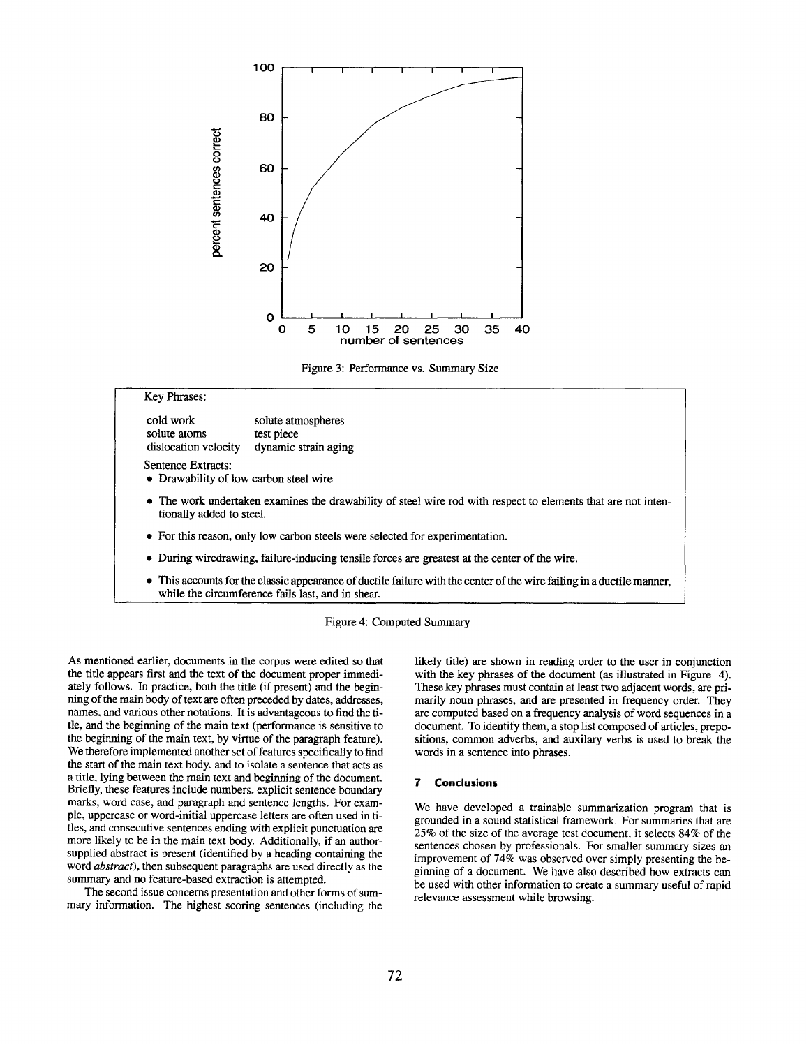

Figure 3: Performance vs. Summary Size

# Key Phrases:

cold work solute atmospheres<br>solute atoms test piece solute atoms<br>dislocation velocity dynamic strain aging

### Sentence Extracts:

• Drawability of low carbon steel wire

- The work undertaken examines the drawability of steel wire rod with respect to elements that are not intentionally added to steel.
- For this reason, only low carbon steels were selected for experimentation.
- During wiredrawing, failure-inducing tensile forces are greatest at the center of the wire.
- This accounts for the classic appearance of ductile failure with the center of the wire failing in a ductile manner, while the circumference fails last, and in shear.



As mentioned earlier, documents in the corpus were edited so that the title appears first and the text of the document proper immediately follows. In practice, both the title (if present) and the beginning of the main body of text are often preceded by dates, addresses, names. and various other notations. It is advantageous to find the title, and the beginning of the main text (performance is sensitive to the beginning of the main text, by virtue of the paragraph feature). We therefore implemented another set of features specifically to find the start of the main text body. and to isolate a sentence that acts as a title, lying between the main text and beginning of the document. Briefly, these features include numbers, explicit sentence boundary marks, word case, and paragraph and sentence lengths. For example, uppercase or word-initial uppercase letters are often used in titles, and consecutive sentences ending with explicit punctuation are more likely to be in the main text body. Additionally, if an authorsupplied abstract is present (identified by a heading containing the word *abstract*), then subsequent paragraphs are used directly as the summary and no feature-based extraction is attempted.

The second issue concerns presentation and other forms of summary information. The highest scoring sentences (including the likely title) are shown in reading order to the user in conjunction with the key phrases of the document (as illustrated in Figure 4). These key phrases must contain at least two adjacent words, are primarily noun phrases, and are presented in frequency order. They are computed based on a frequency analysis of word sequences in a document. To identify them, a stop list composed of articles, prepositions, common adverbs, and auxilary verbs is used to break the words in a sentence into phrases.

#### 7 Conclusions

We have developed a trainable summarization program that is grounded in a sound statistical framework. For summaries that are 25% of the size of the average test document, it selects 84% of the sentences chosen by professionals. For smaller summary sizes an improvement of 74% was observed over simply presenting the beginning of a document. We have also described how extracts can be used with other information to create a summary useful of rapid relevance assessment while browsing.